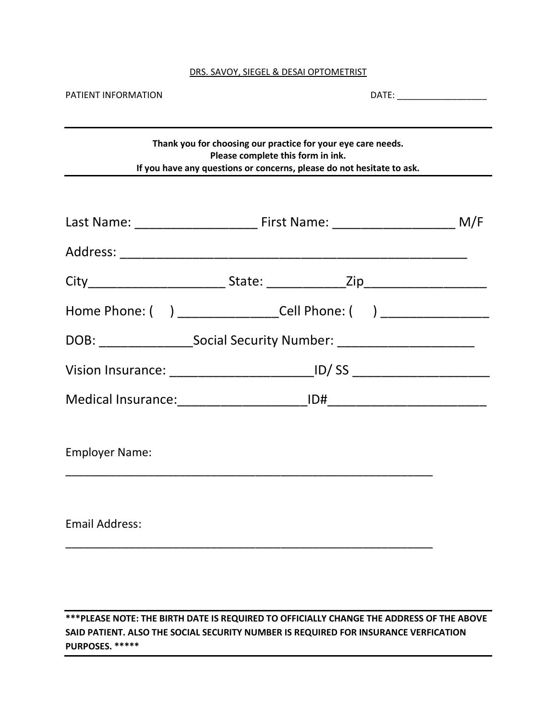#### DRS. SAVOY, SIEGEL & DESAI OPTOMETRIST

| PATIENT INFORMATION                                                              |                                                                                  | DATE: ________________________                                                                                                        |  |
|----------------------------------------------------------------------------------|----------------------------------------------------------------------------------|---------------------------------------------------------------------------------------------------------------------------------------|--|
|                                                                                  | Please complete this form in ink.                                                | Thank you for choosing our practice for your eye care needs.<br>If you have any questions or concerns, please do not hesitate to ask. |  |
|                                                                                  |                                                                                  |                                                                                                                                       |  |
|                                                                                  |                                                                                  |                                                                                                                                       |  |
|                                                                                  |                                                                                  |                                                                                                                                       |  |
|                                                                                  | Home Phone: ( ) ______________________Cell Phone: ( ) __________________________ |                                                                                                                                       |  |
| DOB: ____________________Social Security Number: _______________________________ |                                                                                  |                                                                                                                                       |  |
|                                                                                  |                                                                                  |                                                                                                                                       |  |
|                                                                                  |                                                                                  |                                                                                                                                       |  |
| <b>Employer Name:</b>                                                            |                                                                                  |                                                                                                                                       |  |
| <b>Email Address:</b>                                                            |                                                                                  |                                                                                                                                       |  |
|                                                                                  |                                                                                  |                                                                                                                                       |  |

\*\*\*PLEASE NOTE: THE BIRTH DATE IS REQUIRED TO OFFICIALLY CHANGE THE ADDRESS OF THE ABOVE SAID PATIENT. ALSO THE SOCIAL SECURITY NUMBER IS REQUIRED FOR INSURANCE VERFICATION PURPOSES. \*\*\*\*\*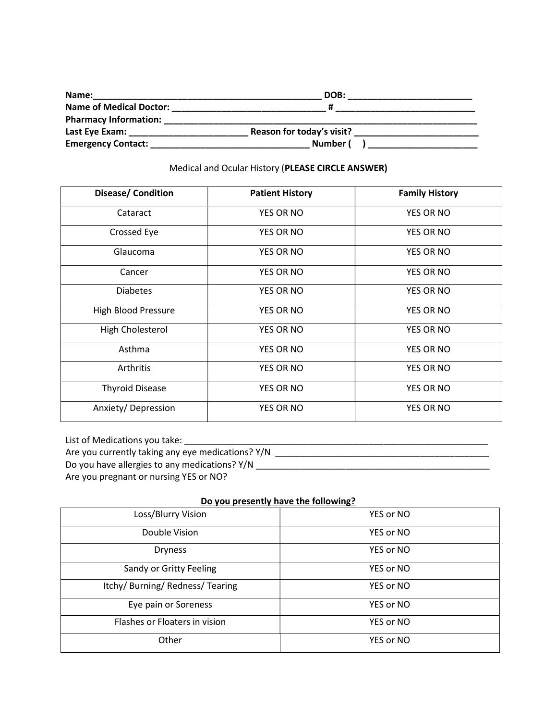| Name:                          | DOB:                      |  |
|--------------------------------|---------------------------|--|
| <b>Name of Medical Doctor:</b> |                           |  |
| <b>Pharmacy Information:</b>   |                           |  |
| Last Eye Exam:                 | Reason for today's visit? |  |
| <b>Emergency Contact:</b>      | Number (                  |  |

## Medical and Ocular History (PLEASE CIRCLE ANSWER)

| <b>Disease/ Condition</b>  | <b>Patient History</b> | <b>Family History</b> |
|----------------------------|------------------------|-----------------------|
| Cataract                   | <b>YES OR NO</b>       | YES OR NO             |
| Crossed Eye                | <b>YES OR NO</b>       | YES OR NO             |
| Glaucoma                   | YES OR NO              | YES OR NO             |
| Cancer                     | <b>YES OR NO</b>       | <b>YES OR NO</b>      |
| <b>Diabetes</b>            | <b>YES OR NO</b>       | <b>YES OR NO</b>      |
| <b>High Blood Pressure</b> | <b>YES OR NO</b>       | <b>YES OR NO</b>      |
| High Cholesterol           | <b>YES OR NO</b>       | YES OR NO             |
| Asthma                     | <b>YES OR NO</b>       | <b>YES OR NO</b>      |
| Arthritis                  | <b>YES OR NO</b>       | <b>YES OR NO</b>      |
| <b>Thyroid Disease</b>     | <b>YES OR NO</b>       | YES OR NO             |
| Anxiety/Depression         | YES OR NO              | YES OR NO             |

List of Medications you take: \_\_\_\_\_\_\_\_\_\_\_\_\_\_\_\_\_\_\_\_\_\_\_\_\_\_\_\_\_\_\_\_\_\_\_\_\_\_\_\_\_\_\_\_\_\_\_\_\_\_\_\_\_\_\_\_\_\_\_\_\_

Are you currently taking any eye medications? Y/N \_\_\_\_\_\_\_\_\_\_\_\_\_\_\_\_\_\_\_\_\_\_\_\_\_\_\_\_\_\_\_\_\_\_\_\_\_\_\_\_\_\_\_

Do you have allergies to any medications? Y/N \_\_\_\_\_\_\_\_\_\_\_\_\_\_\_\_\_\_\_\_\_\_\_\_\_\_\_\_\_\_\_\_\_\_\_\_\_\_\_\_\_\_\_\_\_\_\_

Are you pregnant or nursing YES or NO?

## Do you presently have the following?

| Loss/Blurry Vision               | YES or NO |
|----------------------------------|-----------|
| Double Vision                    | YES or NO |
| <b>Dryness</b>                   | YES or NO |
| Sandy or Gritty Feeling          | YES or NO |
| Itchy/ Burning/ Redness/ Tearing | YES or NO |
| Eye pain or Soreness             | YES or NO |
| Flashes or Floaters in vision    | YES or NO |
| Other                            | YES or NO |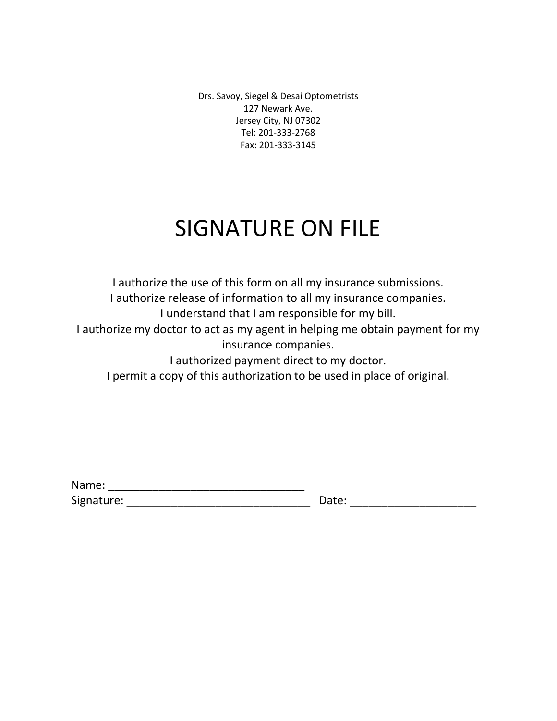Drs. Savoy, Siegel & Desai Optometrists 127 Newark Ave. Jersey City, NJ 07302 Tel: 201-333-2768 Fax: 201-333-3145

# SIGNATURE ON FILE

I authorize the use of this form on all my insurance submissions. I authorize release of information to all my insurance companies. I understand that I am responsible for my bill. I authorize my doctor to act as my agent in helping me obtain payment for my insurance companies.

I authorized payment direct to my doctor.

I permit a copy of this authorization to be used in place of original.

| Name:      |       |
|------------|-------|
| Signature: | Date: |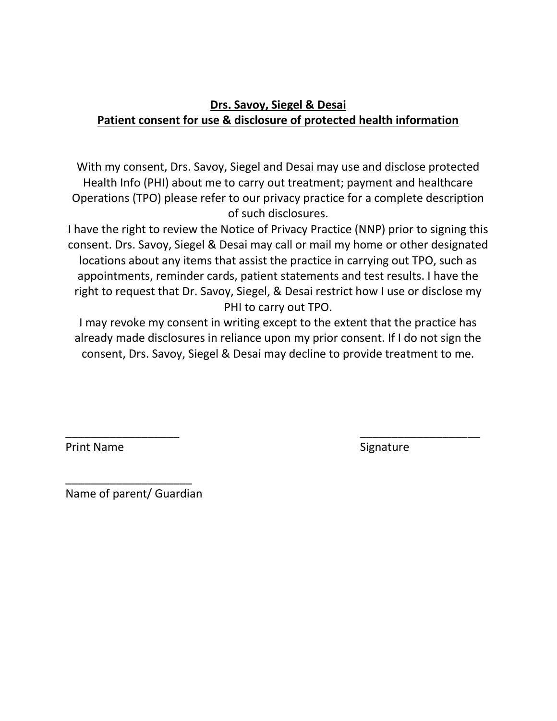## Drs. Savoy, Siegel & Desai Patient consent for use & disclosure of protected health information

With my consent, Drs. Savoy, Siegel and Desai may use and disclose protected Health Info (PHI) about me to carry out treatment; payment and healthcare Operations (TPO) please refer to our privacy practice for a complete description of such disclosures.

I have the right to review the Notice of Privacy Practice (NNP) prior to signing this consent. Drs. Savoy, Siegel & Desai may call or mail my home or other designated locations about any items that assist the practice in carrying out TPO, such as appointments, reminder cards, patient statements and test results. I have the right to request that Dr. Savoy, Siegel, & Desai restrict how I use or disclose my PHI to carry out TPO.

I may revoke my consent in writing except to the extent that the practice has already made disclosures in reliance upon my prior consent. If I do not sign the consent, Drs. Savoy, Siegel & Desai may decline to provide treatment to me.

\_\_\_\_\_\_\_\_\_\_\_\_\_\_\_\_\_\_ \_\_\_\_\_\_\_\_\_\_\_\_\_\_\_\_\_\_\_

Print Name Signature Signature

\_\_\_\_\_\_\_\_\_\_\_\_\_\_\_\_\_\_\_\_ Name of parent/ Guardian